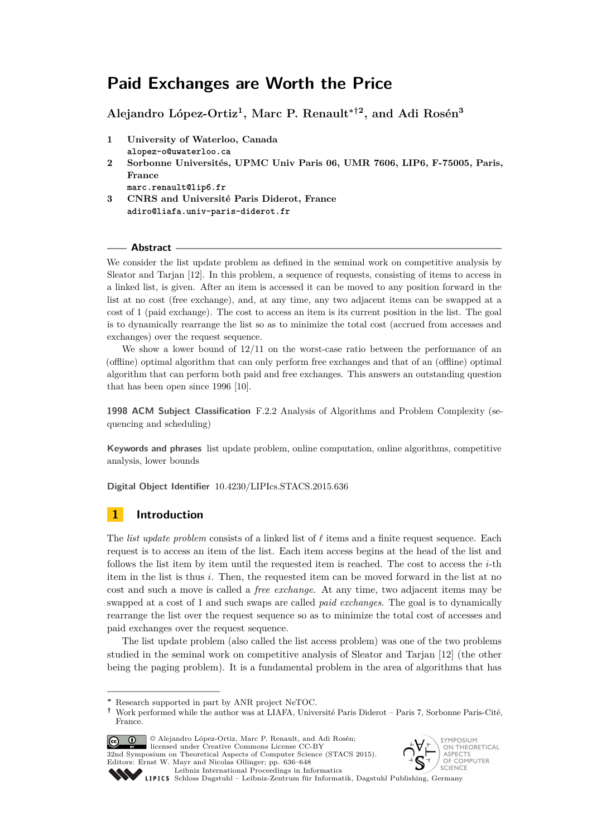# **Paid Exchanges are Worth the Price**

**Alejandro López-Ortiz<sup>1</sup> , Marc P. Renault∗†<sup>2</sup> , and Adi Rosén<sup>3</sup>**

- **1 University of Waterloo, Canada alopez-o@uwaterloo.ca**
- **2 Sorbonne Universités, UPMC Univ Paris 06, UMR 7606, LIP6, F-75005, Paris, France**

**marc.renault@lip6.fr**

**3 CNRS and Université Paris Diderot, France adiro@liafa.univ-paris-diderot.fr**

# **Abstract**

We consider the list update problem as defined in the seminal work on competitive analysis by Sleator and Tarjan [\[12\]](#page-12-0). In this problem, a sequence of requests, consisting of items to access in a linked list, is given. After an item is accessed it can be moved to any position forward in the list at no cost (free exchange), and, at any time, any two adjacent items can be swapped at a cost of 1 (paid exchange). The cost to access an item is its current position in the list. The goal is to dynamically rearrange the list so as to minimize the total cost (accrued from accesses and exchanges) over the request sequence.

We show a lower bound of 12*/*11 on the worst-case ratio between the performance of an (offline) optimal algorithm that can only perform free exchanges and that of an (offline) optimal algorithm that can perform both paid and free exchanges. This answers an outstanding question that has been open since 1996 [\[10\]](#page-12-1).

**1998 ACM Subject Classification** F.2.2 Analysis of Algorithms and Problem Complexity (sequencing and scheduling)

**Keywords and phrases** list update problem, online computation, online algorithms, competitive analysis, lower bounds

**Digital Object Identifier** [10.4230/LIPIcs.STACS.2015.636](http://dx.doi.org/10.4230/LIPIcs.STACS.2015.636)

# **1 Introduction**

The *list update problem* consists of a linked list of  $\ell$  items and a finite request sequence. Each request is to access an item of the list. Each item access begins at the head of the list and follows the list item by item until the requested item is reached. The cost to access the *i*-th item in the list is thus *i*. Then, the requested item can be moved forward in the list at no cost and such a move is called a *free exchange*. At any time, two adjacent items may be swapped at a cost of 1 and such swaps are called *paid exchanges*. The goal is to dynamically rearrange the list over the request sequence so as to minimize the total cost of accesses and paid exchanges over the request sequence.

The list update problem (also called the list access problem) was one of the two problems studied in the seminal work on competitive analysis of Sleator and Tarjan [\[12\]](#page-12-0) (the other being the paging problem). It is a fundamental problem in the area of algorithms that has

**<sup>†</sup>** Work performed while the author was at LIAFA, Université Paris Diderot – Paris 7, Sorbonne Paris-Cité, France.



licensed under Creative Commons License CC-BY 32nd Symposium on Theoretical Aspects of Computer Science (STACS 2015). Editors: Ernst W. Mayr and Nicolas Ollinger; pp. 636[–648](#page-12-2)





[Leibniz International Proceedings in Informatics](http://www.dagstuhl.de/lipics/) Leibniz international Froceenings in missimoses<br>LIPICS [Schloss Dagstuhl – Leibniz-Zentrum für Informatik, Dagstuhl Publishing, Germany](http://www.dagstuhl.de)

**<sup>∗</sup>** Research supported in part by ANR project NeTOC.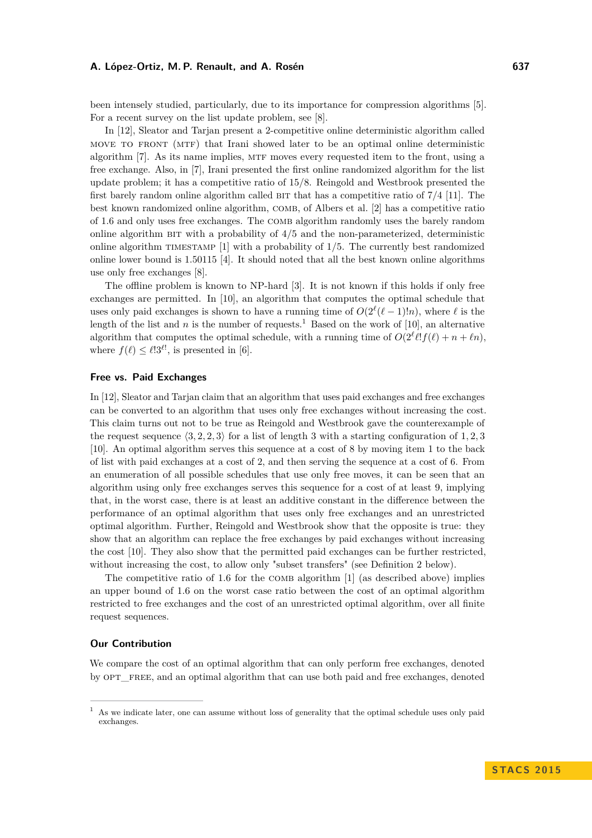been intensely studied, particularly, due to its importance for compression algorithms [\[5\]](#page-12-3). For a recent survey on the list update problem, see [\[8\]](#page-12-4).

In [\[12\]](#page-12-0), Sleator and Tarjan present a 2-competitive online deterministic algorithm called move to front (mtf) that Irani showed later to be an optimal online deterministic algorithm [\[7\]](#page-12-5). As its name implies, MTF moves every requested item to the front, using a free exchange. Also, in [\[7\]](#page-12-5), Irani presented the first online randomized algorithm for the list update problem; it has a competitive ratio of 15*/*8. Reingold and Westbrook presented the first barely random online algorithm called bit that has a competitive ratio of 7*/*4 [\[11\]](#page-12-6). The best known randomized online algorithm, COMB, of Albers et al. [\[2\]](#page-12-7) has a competitive ratio of 1.6 and only uses free exchanges. The COMB algorithm randomly uses the barely random online algorithm bit with a probability of 4*/*5 and the non-parameterized, deterministic online algorithm timestamp [\[1\]](#page-12-8) with a probability of 1*/*5. The currently best randomized online lower bound is 1.50115 [\[4\]](#page-12-9). It should noted that all the best known online algorithms use only free exchanges [\[8\]](#page-12-4).

The offline problem is known to NP-hard [\[3\]](#page-12-10). It is not known if this holds if only free exchanges are permitted. In [\[10\]](#page-12-1), an algorithm that computes the optimal schedule that uses only paid exchanges is shown to have a running time of  $O(2^{\ell}(\ell-1)!n)$ , where  $\ell$  is the length of the list and *n* is the number of requests.<sup>[1](#page-1-0)</sup> Based on the work of [\[10\]](#page-12-1), an alternative algorithm that computes the optimal schedule, with a running time of  $O(2^{\ell} \ell! f(\ell) + n + \ell n)$ , where  $f(\ell) \leq \ell!3^{\ell!}$ , is presented in [\[6\]](#page-12-11).

# **Free vs. Paid Exchanges**

In [\[12\]](#page-12-0), Sleator and Tarjan claim that an algorithm that uses paid exchanges and free exchanges can be converted to an algorithm that uses only free exchanges without increasing the cost. This claim turns out not to be true as Reingold and Westbrook gave the counterexample of the request sequence  $\langle 3, 2, 2, 3 \rangle$  for a list of length 3 with a starting configuration of 1, 2, 3 [\[10\]](#page-12-1). An optimal algorithm serves this sequence at a cost of 8 by moving item 1 to the back of list with paid exchanges at a cost of 2, and then serving the sequence at a cost of 6. From an enumeration of all possible schedules that use only free moves, it can be seen that an algorithm using only free exchanges serves this sequence for a cost of at least 9, implying that, in the worst case, there is at least an additive constant in the difference between the performance of an optimal algorithm that uses only free exchanges and an unrestricted optimal algorithm. Further, Reingold and Westbrook show that the opposite is true: they show that an algorithm can replace the free exchanges by paid exchanges without increasing the cost [\[10\]](#page-12-1). They also show that the permitted paid exchanges can be further restricted, without increasing the cost, to allow only "subset transfers" (see Definition [2](#page-2-0) below).

The competitive ratio of 1.6 for the COMB algorithm [\[1\]](#page-12-8) (as described above) implies an upper bound of 1*.*6 on the worst case ratio between the cost of an optimal algorithm restricted to free exchanges and the cost of an unrestricted optimal algorithm, over all finite request sequences.

### **Our Contribution**

We compare the cost of an optimal algorithm that can only perform free exchanges, denoted by OPT FREE, and an optimal algorithm that can use both paid and free exchanges, denoted

<span id="page-1-0"></span><sup>1</sup> As we indicate later, one can assume without loss of generality that the optimal schedule uses only paid exchanges.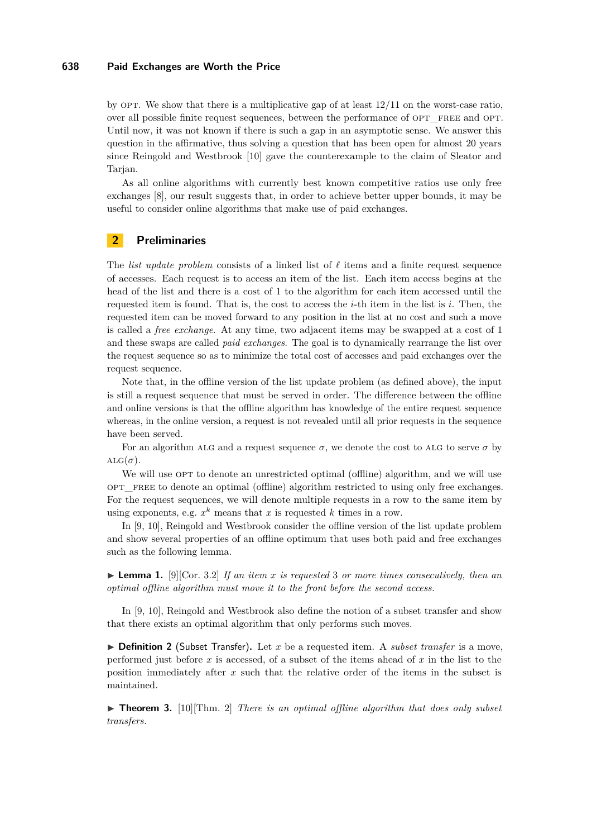### **638 Paid Exchanges are Worth the Price**

by opt. We show that there is a multiplicative gap of at least 12*/*11 on the worst-case ratio, over all possible finite request sequences, between the performance of OPT FREE and OPT. Until now, it was not known if there is such a gap in an asymptotic sense. We answer this question in the affirmative, thus solving a question that has been open for almost 20 years since Reingold and Westbrook [\[10\]](#page-12-1) gave the counterexample to the claim of Sleator and Tarjan.

As all online algorithms with currently best known competitive ratios use only free exchanges [\[8\]](#page-12-4), our result suggests that, in order to achieve better upper bounds, it may be useful to consider online algorithms that make use of paid exchanges.

# **2 Preliminaries**

The *list update problem* consists of a linked list of  $\ell$  items and a finite request sequence of accesses. Each request is to access an item of the list. Each item access begins at the head of the list and there is a cost of 1 to the algorithm for each item accessed until the requested item is found. That is, the cost to access the *i*-th item in the list is *i*. Then, the requested item can be moved forward to any position in the list at no cost and such a move is called a *free exchange*. At any time, two adjacent items may be swapped at a cost of 1 and these swaps are called *paid exchanges*. The goal is to dynamically rearrange the list over the request sequence so as to minimize the total cost of accesses and paid exchanges over the request sequence.

Note that, in the offline version of the list update problem (as defined above), the input is still a request sequence that must be served in order. The difference between the offline and online versions is that the offline algorithm has knowledge of the entire request sequence whereas, in the online version, a request is not revealed until all prior requests in the sequence have been served.

For an algorithm ALG and a request sequence  $\sigma$ , we denote the cost to ALG to serve  $\sigma$  by  $ALG(\sigma)$ .

We will use OPT to denote an unrestricted optimal (offline) algorithm, and we will use OPT FREE to denote an optimal (offline) algorithm restricted to using only free exchanges. For the request sequences, we will denote multiple requests in a row to the same item by using exponents, e.g.  $x^k$  means that  $x$  is requested  $k$  times in a row.

In [\[9,](#page-12-12) [10\]](#page-12-1), Reingold and Westbrook consider the offline version of the list update problem and show several properties of an offline optimum that uses both paid and free exchanges such as the following lemma.

<span id="page-2-1"></span>I **Lemma 1.** [\[9\]](#page-12-12)[Cor. 3.2] *If an item x is requested* 3 *or more times consecutively, then an optimal offline algorithm must move it to the front before the second access.*

In [\[9,](#page-12-12) [10\]](#page-12-1), Reingold and Westbrook also define the notion of a subset transfer and show that there exists an optimal algorithm that only performs such moves.

<span id="page-2-0"></span> $\triangleright$  **Definition 2** (Subset Transfer). Let *x* be a requested item. A *subset transfer* is a move, performed just before *x* is accessed, of a subset of the items ahead of *x* in the list to the position immediately after *x* such that the relative order of the items in the subset is maintained.

<span id="page-2-2"></span> $\triangleright$  **Theorem 3.** [\[10\]](#page-12-1)[Thm. 2] *There is an optimal offline algorithm that does only subset transfers.*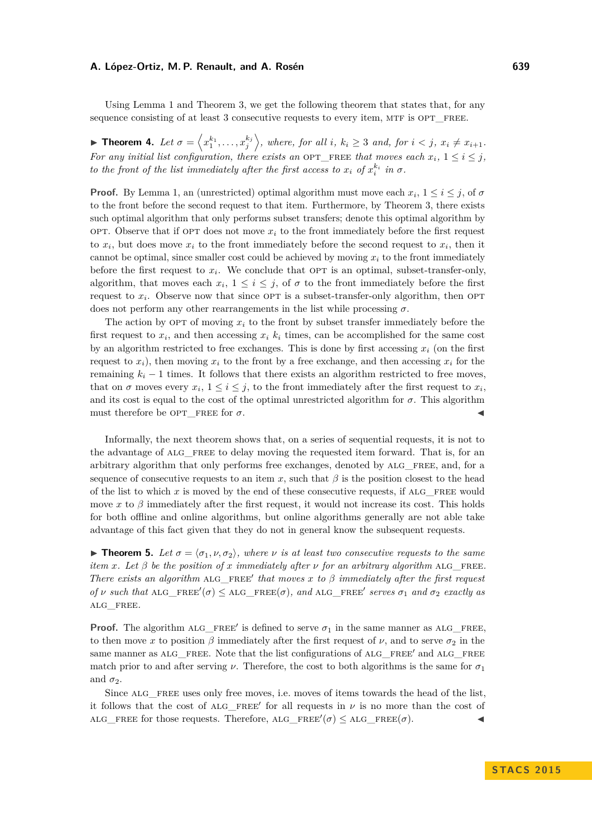Using Lemma [1](#page-2-1) and Theorem [3,](#page-2-2) we get the following theorem that states that, for any sequence consisting of at least 3 consecutive requests to every item, MTF is OPT FREE.

<span id="page-3-0"></span>**Theorem 4.** Let  $\sigma = \langle x_1^{k_1}, \ldots, x_j^{k_j} \rangle$ , where, for all i,  $k_i \geq 3$  and, for  $i < j$ ,  $x_i \neq x_{i+1}$ . *For any initial list configuration, there exists an OPT\_FREE that moves each*  $x_i$ ,  $1 \leq i \leq j$ , *to the front of the list immediately after the first access to*  $x_i$  *of*  $x_i^{k_i}$  *in*  $\sigma$ *.* 

**Proof.** By Lemma [1,](#page-2-1) an (unrestricted) optimal algorithm must move each  $x_i$ ,  $1 \le i \le j$ , of  $\sigma$ to the front before the second request to that item. Furthermore, by Theorem [3,](#page-2-2) there exists such optimal algorithm that only performs subset transfers; denote this optimal algorithm by OPT. Observe that if OPT does not move  $x_i$  to the front immediately before the first request to  $x_i$ , but does move  $x_i$  to the front immediately before the second request to  $x_i$ , then it cannot be optimal, since smaller cost could be achieved by moving  $x_i$  to the front immediately before the first request to  $x_i$ . We conclude that  $\text{OPT}$  is an optimal, subset-transfer-only, algorithm, that moves each  $x_i$ ,  $1 \leq i \leq j$ , of  $\sigma$  to the front immediately before the first request to  $x_i$ . Observe now that since OPT is a subset-transfer-only algorithm, then OPT does not perform any other rearrangements in the list while processing  $\sigma$ .

The action by OPT of moving  $x_i$  to the front by subset transfer immediately before the first request to  $x_i$ , and then accessing  $x_i$   $k_i$  times, can be accomplished for the same cost by an algorithm restricted to free exchanges. This is done by first accessing  $x_i$  (on the first request to  $x_i$ ), then moving  $x_i$  to the front by a free exchange, and then accessing  $x_i$  for the remaining  $k_i - 1$  times. It follows that there exists an algorithm restricted to free moves, that on  $\sigma$  moves every  $x_i$ ,  $1 \leq i \leq j$ , to the front immediately after the first request to  $x_i$ , and its cost is equal to the cost of the optimal unrestricted algorithm for  $\sigma$ . This algorithm must therefore be OPT FREE for  $\sigma$ .

Informally, the next theorem shows that, on a series of sequential requests, it is not to the advantage of ALG FREE to delay moving the requested item forward. That is, for an arbitrary algorithm that only performs free exchanges, denoted by alg\_free, and, for a sequence of consecutive requests to an item  $x$ , such that  $\beta$  is the position closest to the head of the list to which x is moved by the end of these consecutive requests, if ALG FREE would move *x* to  $\beta$  immediately after the first request, it would not increase its cost. This holds for both offline and online algorithms, but online algorithms generally are not able take advantage of this fact given that they do not in general know the subsequent requests.

<span id="page-3-1"></span>**If Theorem 5.** Let  $\sigma = \langle \sigma_1, \nu, \sigma_2 \rangle$ , where  $\nu$  is at least two consecutive requests to the same *item x. Let*  $\beta$  *be the position of x immediately after*  $\nu$  *for an arbitrary algorithm* ALG FREE. *There exists an algorithm* ALG\_FREE' that moves  $x$  to  $\beta$  immediately after the first request  $of$  *ν such that* ALG\_FREE' $(\sigma) \leq$  ALG\_FREE( $\sigma$ )*, and* ALG\_FREE' *serves*  $\sigma_1$  *and*  $\sigma_2$  *exactly as* alg\_free*.*

**Proof.** The algorithm ALG\_FREE' is defined to serve  $\sigma_1$  in the same manner as ALG\_FREE, to then move *x* to position  $\beta$  immediately after the first request of  $\nu$ , and to serve  $\sigma_2$  in the same manner as ALG FREE. Note that the list configurations of ALG FREE' and ALG FREE match prior to and after serving  $\nu$ . Therefore, the cost to both algorithms is the same for  $\sigma_1$ and  $\sigma_2$ .

Since ALG FREE uses only free moves, i.e. moves of items towards the head of the list, it follows that the cost of  $ALG$ <sub>FREE</sub>' for all requests in  $\nu$  is no more than the cost of  $\text{ALG\_FREE}$  for those requests. Therefore,  $\text{ALG\_FREE}'(\sigma) \leq \text{ALG\_FREE}(\sigma)$ .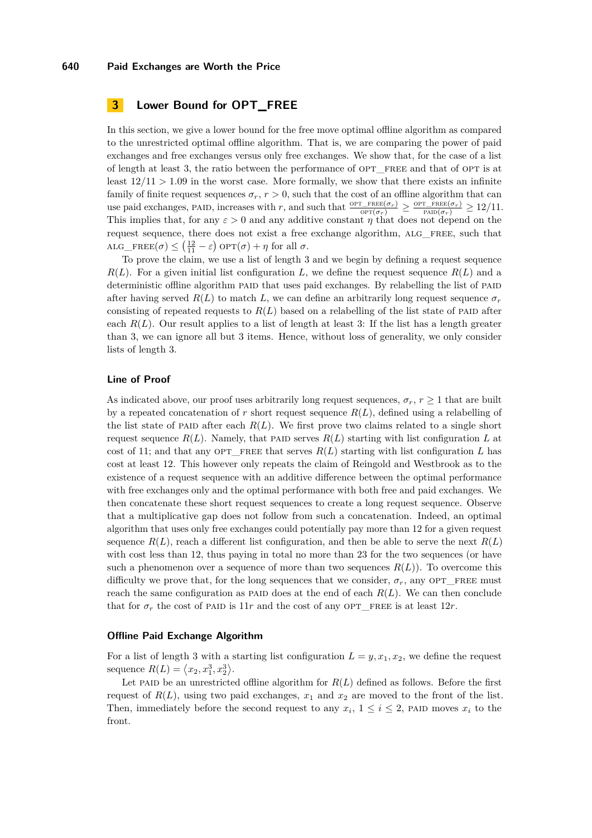# **3 Lower Bound for OPT\_FREE**

In this section, we give a lower bound for the free move optimal offline algorithm as compared to the unrestricted optimal offline algorithm. That is, we are comparing the power of paid exchanges and free exchanges versus only free exchanges. We show that, for the case of a list of length at least 3, the ratio between the performance of OPT\_FREE and that of OPT is at least  $12/11 > 1.09$  in the worst case. More formally, we show that there exists an infinite family of finite request sequences  $\sigma_r$ ,  $r > 0$ , such that the cost of an offline algorithm that can use paid exchanges, PAID, increases with *r*, and such that  $\frac{\text{OPT\_FREE}(\sigma_r)}{\text{OPT}(\sigma_r)} \ge \frac{\text{OPT\_FREE}(\sigma_r)}{\text{PALI}(\sigma_r)} \ge 12/11$ . This implies that, for any  $\varepsilon > 0$  and any additive constant *η* that does not depend on the request sequence, there does not exist a free exchange algorithm, alg\_free, such that  $ALG$ <sub>*FREE*( $\sigma$ )  $\leq (\frac{12}{11} - \varepsilon)$  OPT( $\sigma$ ) +  $\eta$  for all  $\sigma$ .</sub>

To prove the claim, we use a list of length 3 and we begin by defining a request sequence  $R(L)$ . For a given initial list configuration *L*, we define the request sequence  $R(L)$  and a deterministic offline algorithm PAID that uses paid exchanges. By relabelling the list of PAID after having served  $R(L)$  to match L, we can define an arbitrarily long request sequence  $\sigma_r$ consisting of repeated requests to  $R(L)$  based on a relabelling of the list state of PAID after each  $R(L)$ . Our result applies to a list of length at least 3: If the list has a length greater than 3, we can ignore all but 3 items. Hence, without loss of generality, we only consider lists of length 3.

### **Line of Proof**

As indicated above, our proof uses arbitrarily long request sequences,  $\sigma_r$ ,  $r \geq 1$  that are built by a repeated concatenation of  $r$  short request sequence  $R(L)$ , defined using a relabelling of the list state of PAID after each  $R(L)$ . We first prove two claims related to a single short request sequence  $R(L)$ . Namely, that PAID serves  $R(L)$  starting with list configuration L at cost of 11; and that any OPT\_FREE that serves  $R(L)$  starting with list configuration  $L$  has cost at least 12. This however only repeats the claim of Reingold and Westbrook as to the existence of a request sequence with an additive difference between the optimal performance with free exchanges only and the optimal performance with both free and paid exchanges. We then concatenate these short request sequences to create a long request sequence. Observe that a multiplicative gap does not follow from such a concatenation. Indeed, an optimal algorithm that uses only free exchanges could potentially pay more than 12 for a given request sequence  $R(L)$ , reach a different list configuration, and then be able to serve the next  $R(L)$ with cost less than 12, thus paying in total no more than 23 for the two sequences (or have such a phenomenon over a sequence of more than two sequences  $R(L)$ ). To overcome this difficulty we prove that, for the long sequences that we consider,  $\sigma_r$ , any OPT\_FREE must reach the same configuration as PAID does at the end of each  $R(L)$ . We can then conclude that for  $\sigma_r$  the cost of PAID is 11*r* and the cost of any OPT\_FREE is at least 12*r*.

# **Offline Paid Exchange Algorithm**

For a list of length 3 with a starting list configuration  $L = y, x_1, x_2$ , we define the request sequence  $R(L) = \langle x_2, x_1^3, x_2^3 \rangle$ .

Let paid be an unrestricted offline algorithm for  $R(L)$  defined as follows. Before the first request of  $R(L)$ , using two paid exchanges,  $x_1$  and  $x_2$  are moved to the front of the list. Then, immediately before the second request to any  $x_i$ ,  $1 \leq i \leq 2$ , PAID moves  $x_i$  to the front.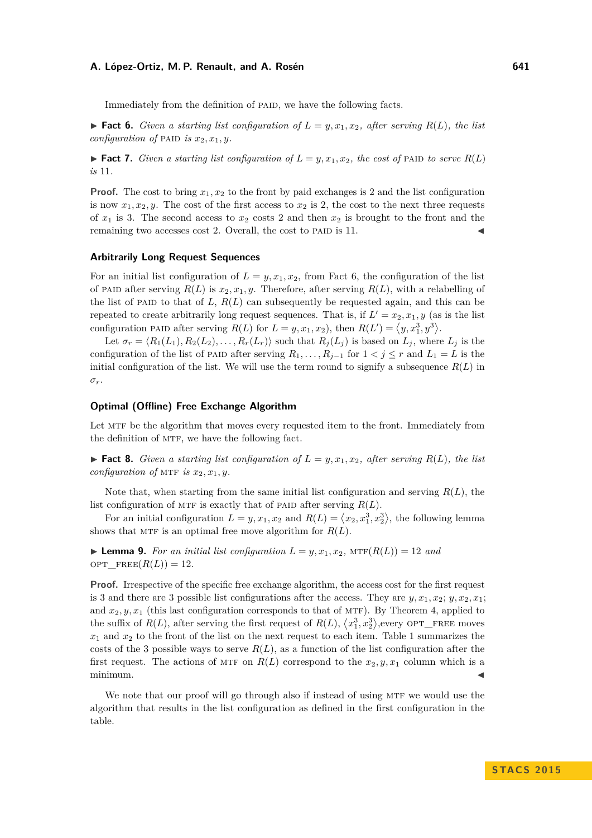Immediately from the definition of paid, we have the following facts.

<span id="page-5-0"></span> $\blacktriangleright$  **Fact 6.** *Given a starting list configuration of*  $L = y, x_1, x_2$ *, after serving*  $R(L)$ *, the list configuration of* PAID *is*  $x_2, x_1, y$ .

<span id="page-5-2"></span> $\blacktriangleright$  **Fact 7.** Given a starting list configuration of  $L = y, x_1, x_2$ , the cost of PAID to serve  $R(L)$ *is* 11*.*

**Proof.** The cost to bring  $x_1, x_2$  to the front by paid exchanges is 2 and the list configuration is now  $x_1, x_2, y$ . The cost of the first access to  $x_2$  is 2, the cost to the next three requests of  $x_1$  is 3. The second access to  $x_2$  costs 2 and then  $x_2$  is brought to the front and the remaining two accesses cost 2. Overall, the cost to PAID is 11.

### **Arbitrarily Long Request Sequences**

For an initial list configuration of  $L = y, x_1, x_2$ , from Fact [6,](#page-5-0) the configuration of the list of PAID after serving  $R(L)$  is  $x_2, x_1, y$ . Therefore, after serving  $R(L)$ , with a relabelling of the list of PAID to that of  $L, R(L)$  can subsequently be requested again, and this can be repeated to create arbitrarily long request sequences. That is, if  $L' = x_2, x_1, y$  (as is the list configuration PAID after serving  $R(L)$  for  $L = y, x_1, x_2$ , then  $R(L') = \langle y, x_1^3, y^3 \rangle$ .

Let  $\sigma_r = \langle R_1(L_1), R_2(L_2), \ldots, R_r(L_r) \rangle$  such that  $R_j(L_j)$  is based on  $L_j$ , where  $L_j$  is the configuration of the list of PAID after serving  $R_1, \ldots, R_{j-1}$  for  $1 < j \leq r$  and  $L_1 = L$  is the initial configuration of the list. We will use the term round to signify a subsequence  $R(L)$  in *σr*.

### **Optimal (Offline) Free Exchange Algorithm**

Let MTF be the algorithm that moves every requested item to the front. Immediately from the definition of MTF, we have the following fact.

 $\blacktriangleright$  **Fact 8.** *Given a starting list configuration of*  $L = y, x_1, x_2$ *, after serving*  $R(L)$ *, the list configuration of* MTF *is*  $x_2, x_1, y$ .

Note that, when starting from the same initial list configuration and serving *R*(*L*), the list configuration of MTF is exactly that of PAID after serving  $R(L)$ .

For an initial configuration  $L = y, x_1, x_2$  and  $R(L) = \langle x_2, x_1^3, x_2^3 \rangle$ , the following lemma shows that MTF is an optimal free move algorithm for  $R(L)$ .

<span id="page-5-1"></span> $\blacktriangleright$  **Lemma 9.** For an initial list configuration  $L = y, x_1, x_2, \text{MTF}(R(L)) = 12$  and opt  $\text{FREE}(R(L)) = 12$ .

**Proof.** Irrespective of the specific free exchange algorithm, the access cost for the first request is 3 and there are 3 possible list configurations after the access. They are  $y, x_1, x_2, y, x_2, x_1$ ; and  $x_2, y, x_1$  (this last configuration corresponds to that of MTF). By Theorem [4,](#page-3-0) applied to the suffix of  $R(L)$ , after serving the first request of  $R(L)$ ,  $\langle x_1^3, x_2^3 \rangle$ , every OPT\_FREE moves  $x_1$  and  $x_2$  to the front of the list on the next request to each item. Table [1](#page-6-0) summarizes the costs of the 3 possible ways to serve  $R(L)$ , as a function of the list configuration after the first request. The actions of MTF on  $R(L)$  correspond to the  $x_2, y, x_1$  column which is a  $\blacksquare$ minimum.

We note that our proof will go through also if instead of using MTF we would use the algorithm that results in the list configuration as defined in the first configuration in the table.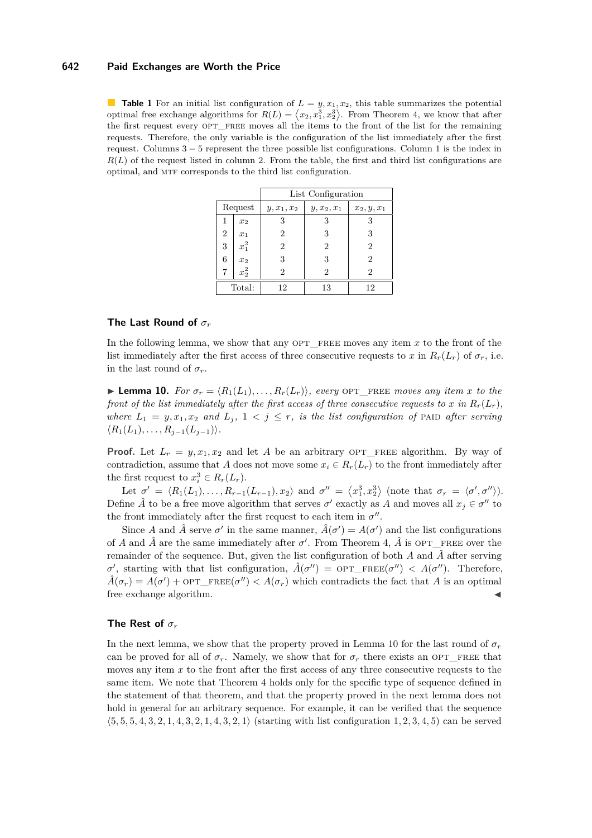#### **642 Paid Exchanges are Worth the Price**

<span id="page-6-0"></span>**Table 1** For an initial list configuration of  $L = y, x_1, x_2$ , this table summarizes the potential optimal free exchange algorithms for  $R(L) = \langle x_2, x_1^3, x_2^3 \rangle$ . From Theorem [4,](#page-3-0) we know that after the first request every OPT\_FREE moves all the items to the front of the list for the remaining requests. Therefore, the only variable is the configuration of the list immediately after the first request. Columns 3 − 5 represent the three possible list configurations. Column 1 is the index in  $R(L)$  of the request listed in column 2. From the table, the first and third list configurations are optimal, and mtf corresponds to the third list configuration.

|                |         | List Configuration |               |               |
|----------------|---------|--------------------|---------------|---------------|
| Request        |         | $y, x_1, x_2$      | $y, x_2, x_1$ | $x_2, y, x_1$ |
| 1              | $x_2$   | 3                  | 3             |               |
| $\overline{2}$ | $x_1$   | 2                  | 3             | 3             |
| 3              | $x_1^2$ | $\overline{2}$     | 2             | 2             |
| 6              | $x_2$   | 3                  | 3             | 2             |
| 7              | $x_2^2$ | 2                  | 2             | 2             |
| Total:         |         | 12                 | 13            | 12            |

# **The Last Round of** *σ<sup>r</sup>*

In the following lemma, we show that any OPT\_FREE moves any item x to the front of the list immediately after the first access of three consecutive requests to *x* in  $R_r(L_r)$  of  $\sigma_r$ , i.e. in the last round of  $\sigma_r$ .

<span id="page-6-1"></span>**Lemma 10.** *For*  $\sigma_r = \langle R_1(L_1), \ldots, R_r(L_r) \rangle$ , every OPT FREE moves any item x to the *front of the list immediately after the first access of three consecutive requests to x in*  $R_r(L_r)$ *, where*  $L_1 = y, x_1, x_2$  *and*  $L_j$ ,  $1 < j \leq r$ , *is the list configuration of* PAID *after serving*  $\langle R_1(L_1), \ldots, R_{j-1}(L_{j-1}) \rangle$ .

**Proof.** Let  $L_r = y, x_1, x_2$  and let *A* be an arbitrary OPT\_FREE algorithm. By way of contradiction, assume that *A* does not move some  $x_i \in R_r(L_r)$  to the front immediately after the first request to  $x_i^3 \in R_r(L_r)$ .

Let  $\sigma' = \langle R_1(L_1), \ldots, R_{r-1}(L_{r-1}), x_2 \rangle$  and  $\sigma'' = \langle x_1^3, x_2^3 \rangle$  (note that  $\sigma_r = \langle \sigma', \sigma'' \rangle$ ). Define  $\hat{A}$  to be a free move algorithm that serves  $\sigma'$  exactly as  $A$  and moves all  $x_j \in \sigma''$  to the front immediately after the first request to each item in  $\sigma''$ .

Since *A* and  $\hat{A}$  serve  $\sigma'$  in the same manner,  $\hat{A}(\sigma') = A(\sigma')$  and the list configurations of *A* and  $\hat{A}$  are the same immediately after  $\sigma'$ . From Theorem [4,](#page-3-0)  $\hat{A}$  is OPT\_FREE over the remainder of the sequence. But, given the list configuration of both  $A$  and  $\hat{A}$  after serving *σ*<sup>'</sup>, starting with that list configuration,  $\hat{A}(\sigma'') = \text{OPT\_FREE}(\sigma'') < A(\sigma'')$ . Therefore,  $\hat{A}(\sigma_r) = A(\sigma') + \text{OPT\_FREE}(\sigma'') < A(\sigma_r)$  which contradicts the fact that *A* is an optimal free exchange algorithm.

### **The Rest of** *σ<sup>r</sup>*

In the next lemma, we show that the property proved in Lemma [10](#page-6-1) for the last round of  $\sigma_r$ can be proved for all of  $\sigma_r$ . Namely, we show that for  $\sigma_r$  there exists an OPT\_FREE that moves any item x to the front after the first access of any three consecutive requests to the same item. We note that Theorem [4](#page-3-0) holds only for the specific type of sequence defined in the statement of that theorem, and that the property proved in the next lemma does not hold in general for an arbitrary sequence. For example, it can be verified that the sequence  $\langle 5, 5, 5, 4, 3, 2, 1, 4, 3, 2, 1, 4, 3, 2, 1 \rangle$  (starting with list configuration 1, 2, 3, 4, 5) can be served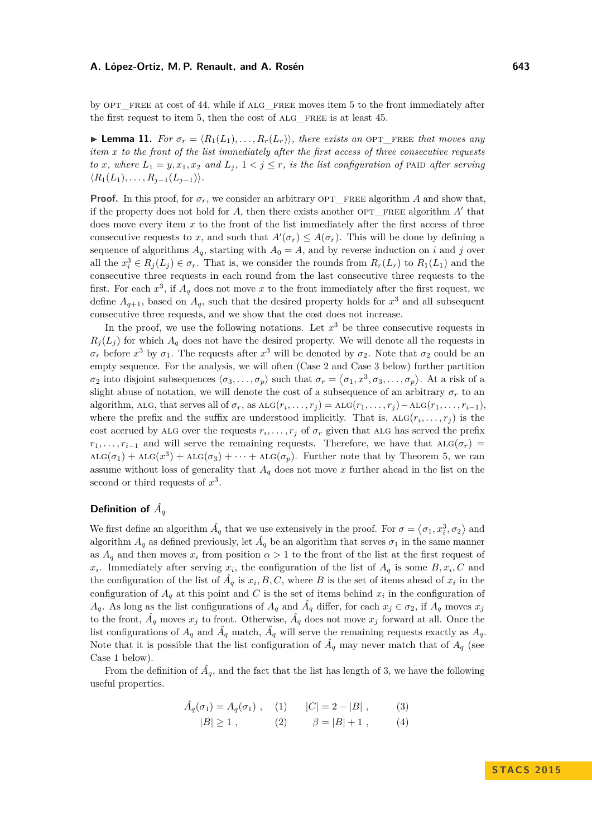by OPT FREE at cost of 44, while if ALG FREE moves item 5 to the front immediately after the first request to item 5, then the cost of ALG FREE is at least 45.

<span id="page-7-4"></span>**Lemma 11.** *For*  $\sigma_r = \langle R_1(L_1), \ldots, R_r(L_r) \rangle$ *, there exists an* OPT FREE *that moves any item x to the front of the list immediately after the first access of three consecutive requests to x*, where  $L_1 = y, x_1, x_2$  and  $L_j, 1 \leq j \leq r$ , is the list configuration of PAID after serving  $\langle R_1(L_1), \ldots, R_{j-1}(L_{j-1}) \rangle$ .

**Proof.** In this proof, for  $\sigma_r$ , we consider an arbitrary OPT FREE algorithm *A* and show that, if the property does not hold for  $A$ , then there exists another  $OPT$ <sub>FREE</sub> algorithm  $A'$  that does move every item x to the front of the list immediately after the first access of three consecutive requests to *x*, and such that  $A'(\sigma_r) \leq A(\sigma_r)$ . This will be done by defining a sequence of algorithms  $A_q$ , starting with  $A_0 = A$ , and by reverse induction on *i* and *j* over all the  $x_i^3 \in R_j(L_j) \in \sigma_r$ . That is, we consider the rounds from  $R_r(L_r)$  to  $R_1(L_1)$  and the consecutive three requests in each round from the last consecutive three requests to the first. For each  $x^3$ , if  $A_q$  does not move x to the front immediately after the first request, we define  $A_{q+1}$ , based on  $A_q$ , such that the desired property holds for  $x^3$  and all subsequent consecutive three requests, and we show that the cost does not increase.

In the proof, we use the following notations. Let  $x^3$  be three consecutive requests in  $R_j(L_j)$  for which  $A_q$  does not have the desired property. We will denote all the requests in *σ*<sup>*r*</sup> before *x*<sup>3</sup> by *σ*<sub>1</sub>. The requests after *x*<sup>3</sup> will be denoted by *σ*<sub>2</sub>. Note that *σ*<sub>2</sub> could be an empty sequence. For the analysis, we will often (Case 2 and Case 3 below) further partition  $\sigma_2$  into disjoint subsequences  $\langle \sigma_3, \ldots, \sigma_p \rangle$  such that  $\sigma_r = \langle \sigma_1, x^3, \sigma_3, \ldots, \sigma_p \rangle$ . At a risk of a slight abuse of notation, we will denote the cost of a subsequence of an arbitrary  $\sigma_r$  to an algorithm, ALG, that serves all of  $\sigma_r$ , as  $ALG(r_i, \ldots, r_j) = ALG(r_1, \ldots, r_j) - ALG(r_1, \ldots, r_{i-1}),$ where the prefix and the suffix are understood implicitly. That is,  $ALG(r_i, \ldots, r_j)$  is the cost accrued by ALG over the requests  $r_i, \ldots, r_j$  of  $\sigma_r$  given that ALG has served the prefix  $r_1, \ldots, r_{i-1}$  and will serve the remaining requests. Therefore, we have that ALG( $\sigma_r$ ) =  $\mathrm{ALG}(\sigma_1) + \mathrm{ALG}(x^3) + \mathrm{ALG}(\sigma_3) + \cdots + \mathrm{ALG}(\sigma_p)$ . Further note that by Theorem [5,](#page-3-1) we can assume without loss of generality that  $A_q$  does not move  $x$  further ahead in the list on the second or third requests of *x* 3 .

# Definition of  $\hat{A_q}$

We first define an algorithm  $\hat{A}_q$  that we use extensively in the proof. For  $\sigma = \langle \sigma_1, x_i^3, \sigma_2 \rangle$  and algorithm  $A_q$  as defined previously, let  $\hat{A}_q$  be an algorithm that serves  $\sigma_1$  in the same manner as  $A_q$  and then moves  $x_i$  from position  $\alpha > 1$  to the front of the list at the first request of *x*<sub>*i*</sub>. Immediately after serving *x*<sub>*i*</sub></sub>, the configuration of the list of  $A_q$  is some  $B, x_i, C$  and the configuration of the list of  $\hat{A}_q$  is  $x_i, B, C$ , where B is the set of items ahead of  $x_i$  in the configuration of  $A_q$  at this point and *C* is the set of items behind  $x_i$  in the configuration of *A*<sup>q</sup>. As long as the list configurations of  $A_q$  and  $\hat{A}_q$  differ, for each  $x_j \in \sigma_2$ , if  $A_q$  moves  $x_j$ to the front,  $\hat{A}_q$  moves  $x_j$  to front. Otherwise,  $\hat{A}_q$  does not move  $x_j$  forward at all. Once the list configurations of  $A_q$  and  $\hat{A}_q$  match,  $\hat{A}_q$  will serve the remaining requests exactly as  $A_q$ . Note that it is possible that the list configuration of  $\hat{A}_q$  may never match that of  $A_q$  (see Case 1 below).

From the definition of  $\hat{A}_q$ , and the fact that the list has length of 3, we have the following useful properties.

<span id="page-7-3"></span><span id="page-7-2"></span><span id="page-7-1"></span><span id="page-7-0"></span>
$$
\hat{A}_q(\sigma_1) = A_q(\sigma_1),
$$
 (1)  $|C| = 2 - |B|,$  (3)  
\n $|B| \ge 1,$  (2)  $\beta = |B| + 1,$  (4)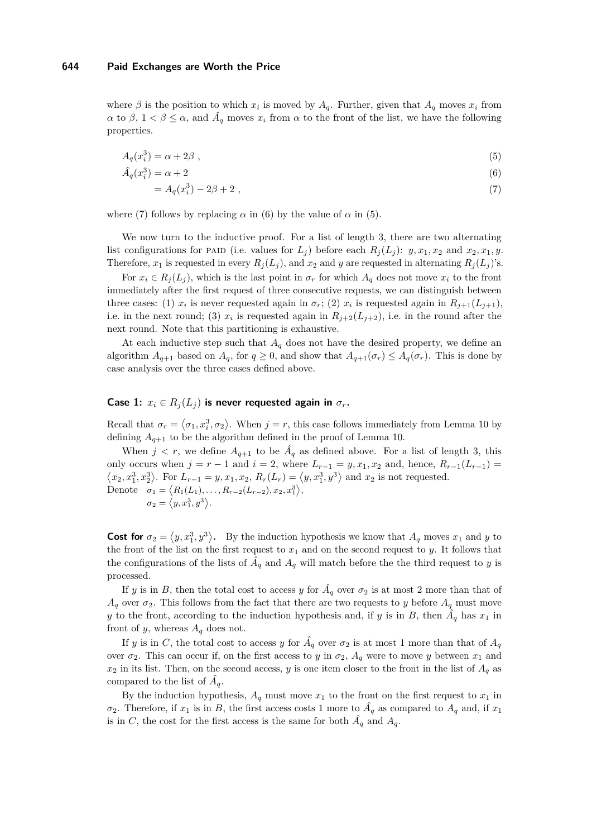where  $\beta$  is the position to which  $x_i$  is moved by  $A_q$ . Further, given that  $A_q$  moves  $x_i$  from *α* to *β*,  $1 < \beta \leq \alpha$ , and  $\hat{A}_q$  moves  $x_i$  from  $\alpha$  to the front of the list, we have the following properties.

$$
A_q(x_i^3) = \alpha + 2\beta \tag{5}
$$

$$
\hat{A}_q(x_i^3) = \alpha + 2\tag{6}
$$

<span id="page-8-2"></span><span id="page-8-1"></span><span id="page-8-0"></span>
$$
=A_q(x_i^3) - 2\beta + 2 \tag{7}
$$

where [\(7\)](#page-8-0) follows by replacing  $\alpha$  in [\(6\)](#page-8-1) by the value of  $\alpha$  in [\(5\)](#page-8-2).

We now turn to the inductive proof. For a list of length 3, there are two alternating list configurations for PAID (i.e. values for  $L_j$ ) before each  $R_j(L_j)$ :  $y, x_1, x_2$  and  $x_2, x_1, y$ . Therefore,  $x_1$  is requested in every  $R_j(L_j)$ , and  $x_2$  and  $y$  are requested in alternating  $R_j(L_j)$ 's.

For  $x_i \in R_i(L_i)$ , which is the last point in  $\sigma_r$  for which  $A_q$  does not move  $x_i$  to the front immediately after the first request of three consecutive requests, we can distinguish between three cases: (1)  $x_i$  is never requested again in  $\sigma_r$ ; (2)  $x_i$  is requested again in  $R_{j+1}(L_{j+1}),$ i.e. in the next round; (3)  $x_i$  is requested again in  $R_{j+2}(L_{j+2})$ , i.e. in the round after the next round. Note that this partitioning is exhaustive.

At each inductive step such that  $A_q$  does not have the desired property, we define an algorithm  $A_{q+1}$  based on  $A_q$ , for  $q \geq 0$ , and show that  $A_{q+1}(\sigma_r) \leq A_q(\sigma_r)$ . This is done by case analysis over the three cases defined above.

# Case 1:  $x_i \in R_i(L_i)$  is never requested again in  $\sigma_r$ .

Recall that  $\sigma_r = \langle \sigma_1, x_i^3, \sigma_2 \rangle$ . When  $j = r$ , this case follows immediately from Lemma [10](#page-6-1) by defining  $A_{q+1}$  to be the algorithm defined in the proof of Lemma [10.](#page-6-1)

When  $j < r$ , we define  $A_{q+1}$  to be  $A_q$  as defined above. For a list of length 3, this only occurs when  $j = r - 1$  and  $i = 2$ , where  $L_{r-1} = y, x_1, x_2$  and, hence,  $R_{r-1}(L_{r-1}) =$  $\langle x_2, x_1^3, x_2^3 \rangle$ . For  $L_{r-1} = y, x_1, x_2, R_r(L_r) = \langle y, x_1^3, y^3 \rangle$  and  $x_2$  is not requested. Denote  $\sigma_1 = \langle R_1(L_1), \ldots, R_{r-2}(L_{r-2}), x_2, x_1^3 \rangle$  $\sigma_2 = \langle y, x_1^3, y^3 \rangle.$ 

**Cost for**  $\sigma_2 = \langle y, x_1^3, y^3 \rangle$ . By the induction hypothesis we know that  $A_q$  moves  $x_1$  and  $y$  to the front of the list on the first request to  $x_1$  and on the second request to *y*. It follows that the configurations of the lists of  $\hat{A}_q$  and  $A_q$  will match before the the third request to *y* is processed.

If *y* is in *B*, then the total cost to access *y* for  $\hat{A}_q$  over  $\sigma_2$  is at most 2 more than that of  $A_q$  over  $\sigma_2$ . This follows from the fact that there are two requests to *y* before  $A_q$  must move *y* to the front, according to the induction hypothesis and, if *y* is in *B*, then  $\tilde{A}_q$  has  $x_1$  in front of *y*, whereas  $A_q$  does not.

If *y* is in *C*, the total cost to access *y* for  $\hat{A}_q$  over  $\sigma_2$  is at most 1 more than that of  $A_q$ over  $\sigma_2$ . This can occur if, on the first access to *y* in  $\sigma_2$ ,  $A_q$  were to move *y* between  $x_1$  and  $x_2$  in its list. Then, on the second access, *y* is one item closer to the front in the list of  $A_q$  as compared to the list of  $\hat{A}_q$ .

By the induction hypothesis,  $A_q$  must move  $x_1$  to the front on the first request to  $x_1$  in  $\sigma_2$ . Therefore, if  $x_1$  is in *B*, the first access costs 1 more to  $\hat{A}_q$  as compared to  $A_q$  and, if  $x_1$ is in *C*, the cost for the first access is the same for both  $\hat{A}_q$  and  $A_q$ .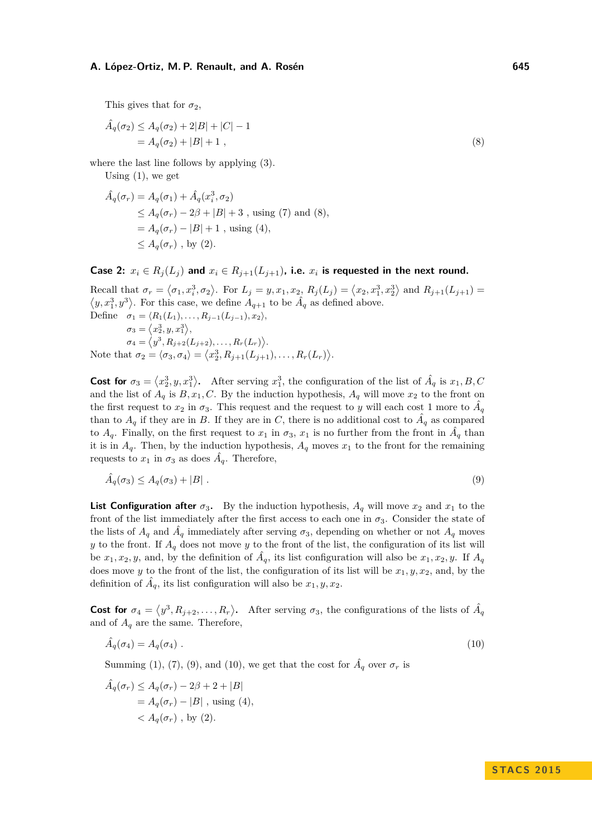This gives that for  $\sigma_2$ ,

<span id="page-9-0"></span>
$$
\hat{A}_q(\sigma_2) \le A_q(\sigma_2) + 2|B| + |C| - 1 \n= A_q(\sigma_2) + |B| + 1,
$$
\n(8)

where the last line follows by applying  $(3)$ .

Using  $(1)$ , we get

$$
\hat{A}_q(\sigma_r) = A_q(\sigma_1) + \hat{A}_q(x_i^3, \sigma_2)
$$
\n
$$
\leq A_q(\sigma_r) - 2\beta + |B| + 3
$$
, using (7) and (8),\n
$$
= A_q(\sigma_r) - |B| + 1
$$
, using (4),\n
$$
\leq A_q(\sigma_r)
$$
, by (2).

Case 2:  $x_i \in R_j(L_j)$  and  $x_i \in R_{j+1}(L_{j+1})$ , i.e.  $x_i$  is requested in the next round.

Recall that  $\sigma_r = \langle \sigma_1, x_i^3, \sigma_2 \rangle$ . For  $L_j = y, x_1, x_2, R_j(L_j) = \langle x_2, x_1^3, x_2^3 \rangle$  and  $R_{j+1}(L_{j+1}) =$  $\langle y, x_1^3, y^3 \rangle$ . For this case, we define  $A_{q+1}$  to be  $\hat{A}_q$  as defined above. Define  $\sigma_1 = \langle R_1(L_1), \ldots, R_{j-1}(L_{j-1}), x_2 \rangle$ ,  $\sigma_3 = \langle x_2^3, y, x_1^3 \rangle,$  $\sigma_4 = \langle y^3, R_{j+2}(L_{j+2}), \ldots, R_r(L_r) \rangle.$ Note that  $\sigma_2 = \langle \sigma_3, \sigma_4 \rangle = \langle x_2^3, R_{j+1}(L_{j+1}), \ldots, R_r(L_r) \rangle$ .

**Cost for**  $\sigma_3 = \langle x_2^3, y, x_1^3 \rangle$ . After serving  $x_1^3$ , the configuration of the list of  $\hat{A}_q$  is  $x_1, B, C$ and the list of  $A_q$  is  $B, x_1, C$ . By the induction hypothesis,  $A_q$  will move  $x_2$  to the front on the first request to  $x_2$  in  $\sigma_3$ . This request and the request to *y* will each cost 1 more to  $\hat{A}_q$ than to  $A_q$  if they are in *B*. If they are in *C*, there is no additional cost to  $\hat{A}_q$  as compared to  $A_q$ . Finally, on the first request to  $x_1$  in  $\sigma_3$ ,  $x_1$  is no further from the front in  $\hat{A}_q$  than it is in  $A_q$ . Then, by the induction hypothesis,  $A_q$  moves  $x_1$  to the front for the remaining requests to  $x_1$  in  $\sigma_3$  as does  $\hat{A}_q$ . Therefore,

<span id="page-9-1"></span>
$$
\hat{A}_q(\sigma_3) \le A_q(\sigma_3) + |B| \tag{9}
$$

**List Configuration after**  $\sigma_3$ . By the induction hypothesis,  $A_q$  will move  $x_2$  and  $x_1$  to the front of the list immediately after the first access to each one in  $\sigma_3$ . Consider the state of the lists of  $A_q$  and  $\hat{A}_q$  immediately after serving  $\sigma_3$ , depending on whether or not  $A_q$  moves *y* to the front. If  $A_q$  does not move *y* to the front of the list, the configuration of its list will be  $x_1, x_2, y$ , and, by the definition of  $\hat{A}_q$ , its list configuration will also be  $x_1, x_2, y$ . If  $A_q$ does move *y* to the front of the list, the configuration of its list will be  $x_1, y, x_2$ , and, by the definition of  $\hat{A}_q$ , its list configuration will also be  $x_1, y, x_2$ .

**Cost for**  $\sigma_4 = \langle y^3, R_{j+2}, \ldots, R_r \rangle$ . After serving  $\sigma_3$ , the configurations of the lists of  $\hat{A}_q$ and of  $A_q$  are the same. Therefore,

<span id="page-9-2"></span>
$$
\hat{A}_q(\sigma_4) = A_q(\sigma_4) \tag{10}
$$

Summing [\(1\)](#page-7-1), [\(7\)](#page-8-0), [\(9\)](#page-9-1), and [\(10\)](#page-9-2), we get that the cost for  $\hat{A}_q$  over  $\sigma_r$  is

$$
\hat{A}_q(\sigma_r) \le A_q(\sigma_r) - 2\beta + 2 + |B|
$$
  
=  $A_q(\sigma_r) - |B|$ , using (4),  
<  $A_q(\sigma_r)$ , by (2).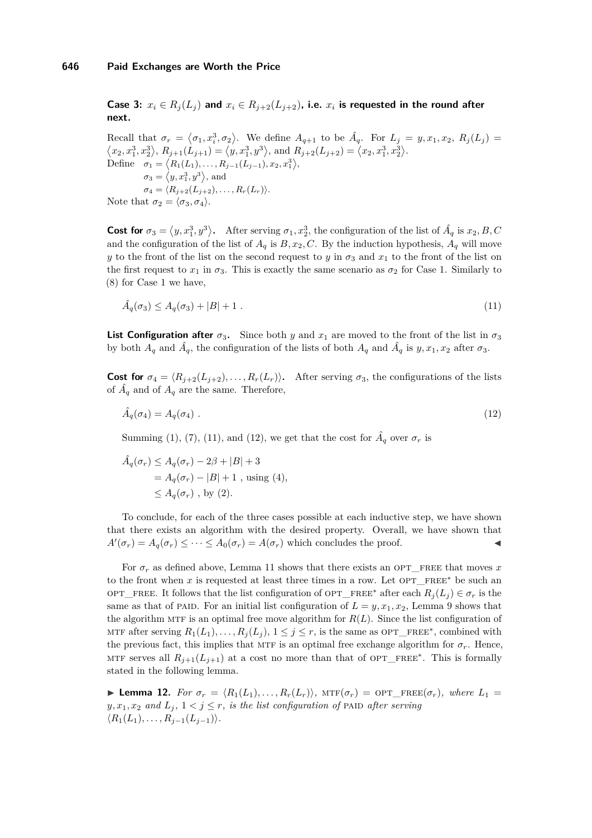**Case 3:**  $x_i \in R_j(L_j)$  and  $x_i \in R_{j+2}(L_{j+2})$ , i.e.  $x_i$  is requested in the round after **next.**

Recall that  $\sigma_r = \langle \sigma_1, x_i^3, \sigma_2 \rangle$ . We define  $A_{q+1}$  to be  $\hat{A}_q$ . For  $L_j = y, x_1, x_2, R_j(L_j)$  $\langle x_2, x_1^3, x_2^3 \rangle$ ,  $R_{j+1}(L_{j+1}) = \langle y, x_1^3, y^3 \rangle$ , and  $R_{j+2}(L_{j+2}) = \langle x_2, x_1^3, x_2^3 \rangle$ . Define  $\sigma_1 = \langle R_1(L_1), \ldots, R_{j-1}(L_{j-1}), x_2, x_1^3 \rangle$  $\sigma_3 = \langle y, x_1^3, y^3 \rangle$ , and  $\sigma_4 = \langle R_{j+2}(L_{j+2}), \ldots, R_r(L_r) \rangle.$ Note that  $\sigma_2 = \langle \sigma_3, \sigma_4 \rangle$ .

**Cost for**  $\sigma_3 = \langle y, x_1^3, y^3 \rangle$ . After serving  $\sigma_1, x_2^3$ , the configuration of the list of  $\hat{A}_q$  is  $x_2, B, C$ and the configuration of the list of  $A_q$  is  $B, x_2, C$ . By the induction hypothesis,  $A_q$  will move *y* to the front of the list on the second request to *y* in  $\sigma_3$  and  $x_1$  to the front of the list on the first request to  $x_1$  in  $\sigma_3$ . This is exactly the same scenario as  $\sigma_2$  for Case 1. Similarly to [\(8\)](#page-9-0) for Case 1 we have,

<span id="page-10-0"></span>
$$
\hat{A}_q(\sigma_3) \le A_q(\sigma_3) + |B| + 1 \tag{11}
$$

**List Configuration after**  $\sigma_3$ . Since both *y* and  $x_1$  are moved to the front of the list in  $\sigma_3$ by both  $A_q$  and  $\hat{A}_q$ , the configuration of the lists of both  $A_q$  and  $\hat{A}_q$  is  $y, x_1, x_2$  after  $\sigma_3$ .

**Cost for**  $\sigma_4 = \langle R_{i+2}(L_{i+2}), \ldots, R_r(L_r) \rangle$ . After serving  $\sigma_3$ , the configurations of the lists of  $\hat{A}_q$  and of  $A_q$  are the same. Therefore,

<span id="page-10-1"></span>
$$
\hat{A}_q(\sigma_4) = A_q(\sigma_4) \tag{12}
$$

Summing [\(1\)](#page-7-1), [\(7\)](#page-8-0), [\(11\)](#page-10-0), and [\(12\)](#page-10-1), we get that the cost for  $\hat{A}_q$  over  $\sigma_r$  is

$$
\hat{A}_q(\sigma_r) \le A_q(\sigma_r) - 2\beta + |B| + 3
$$
  
=  $A_q(\sigma_r) - |B| + 1$ , using (4),  
 $\le A_q(\sigma_r)$ , by (2).

To conclude, for each of the three cases possible at each inductive step, we have shown that there exists an algorithm with the desired property. Overall, we have shown that  $A'(\sigma_r) = A_q(\sigma_r) \leq \cdots \leq A_0(\sigma_r) = A(\sigma_r)$  which concludes the proof.

For  $\sigma_r$  as defined above, Lemma [11](#page-7-4) shows that there exists an OPT\_FREE that moves  $x$ to the front when *x* is requested at least three times in a row. Let  $OPT$ <sub>FREE<sup>\*</sup> be such an</sub> opt\_free. It follows that the list configuration of opt\_free\* after each  $R_i(L_i) \in \sigma_r$  is the same as that of PAID. For an initial list configuration of  $L = y, x_1, x_2$ , Lemma [9](#page-5-1) shows that the algorithm MTF is an optimal free move algorithm for  $R(L)$ . Since the list configuration of MTF after serving  $R_1(L_1), \ldots, R_j(L_j), 1 \leq j \leq r$ , is the same as OPT\_FREE<sup>\*</sup>, combined with the previous fact, this implies that MTF is an optimal free exchange algorithm for  $\sigma_r$ . Hence, MTF serves all  $R_{j+1}(L_{j+1})$  at a cost no more than that of OPT\_FREE<sup>\*</sup>. This is formally stated in the following lemma.

<span id="page-10-2"></span>**Lemma 12.** *For*  $\sigma_r = \langle R_1(L_1), \ldots, R_r(L_r) \rangle$ ,  $\text{MTF}(\sigma_r) = \text{OPT\_FREE}(\sigma_r)$ , where  $L_1 =$  $y, x_1, x_2$  *and*  $L_i, 1 \leq j \leq r$ *, is the list configuration of* PAID *after serving*  $\langle R_1(L_1), \ldots, R_{j-1}(L_{j-1}) \rangle$ .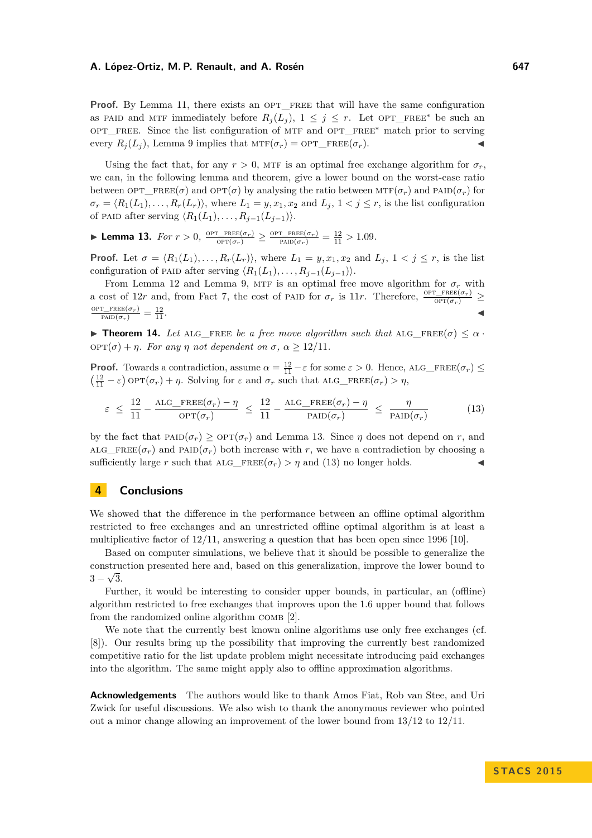**Proof.** By Lemma [11,](#page-7-4) there exists an OPT FREE that will have the same configuration as PAID and MTF immediately before  $R_i(L_i)$ ,  $1 \leq j \leq r$ . Let OPT\_FREE<sup>\*</sup> be such an OPT FREE. Since the list configuration of MTF and OPT FREE<sup>∗</sup> match prior to serving every  $R_i(L_i)$ , Lemma [9](#page-5-1) implies that  $\text{MTF}(\sigma_r) = \text{OPT\_FREE}(\sigma_r)$ .

Using the fact that, for any  $r > 0$ , MTF is an optimal free exchange algorithm for  $\sigma_r$ , we can, in the following lemma and theorem, give a lower bound on the worst-case ratio between  $OPT$  FREE( $\sigma$ ) and  $OPT(\sigma)$  by analysing the ratio between  $MTF(\sigma_r)$  and  $PAND(\sigma_r)$  for  $\sigma_r = \langle R_1(L_1), \ldots, R_r(L_r) \rangle$ , where  $L_1 = y, x_1, x_2$  and  $L_j, 1 \le j \le r$ , is the list configuration of PAID after serving  $\langle R_1(L_1), \ldots, R_{j-1}(L_{j-1}) \rangle$ .

<span id="page-11-0"></span>► **Lemma 13.** *For*  $r > 0$ ,  $\frac{\text{OPT\_FREE}(\sigma_r)}{\text{OPT}(\sigma_r)} \ge \frac{\text{OPT\_FREE}(\sigma_r)}{\text{PALD}(\sigma_r)} = \frac{12}{11} > 1.09$ *.* 

**Proof.** Let  $\sigma = \langle R_1(L_1), \ldots, R_r(L_r) \rangle$ , where  $L_1 = y, x_1, x_2$  and  $L_j$ ,  $1 \leq j \leq r$ , is the list configuration of PAID after serving  $\langle R_1(L_1), \ldots, R_{j-1}(L_{j-1}) \rangle$ .

From Lemma [12](#page-10-2) and Lemma [9,](#page-5-1) MTF is an optimal free move algorithm for  $\sigma_r$  with a cost of 12*r* and, from Fact [7,](#page-5-2) the cost of PAID for  $\sigma_r$  is 11*r*. Therefore,  $\frac{\text{OPT\_FREE}(\sigma_r)}{\text{OPT}(\sigma_r)} \ge$  $\frac{\text{OPT\_FREE}(\sigma_r)}{\text{PAID}(\sigma_r)} = \frac{12}{11}$  $\frac{12}{11}$ .

**Find 14.** Let all FREE be a free move algorithm such that  $\text{ALG}$  FREE( $\sigma$ )  $\leq \alpha$ . opt(*σ*) + *η. For any η not dependent on σ, α* ≥ 12*/*11*.*

**Proof.** Towards a contradiction, assume  $\alpha = \frac{12}{11} - \varepsilon$  for some  $\varepsilon > 0$ . Hence, ALG\_FREE( $\sigma_r$ ) ≤  $\left(\frac{12}{11} - \varepsilon\right)$  op $\text{T}(\sigma_r) + \eta$ . Solving for  $\varepsilon$  and  $\sigma_r$  such that ALG\_FREE( $\sigma_r$ ) >  $\eta$ ,

<span id="page-11-1"></span>
$$
\varepsilon \le \frac{12}{11} - \frac{\text{ALG\_FREE}(\sigma_r) - \eta}{\text{OPT}(\sigma_r)} \le \frac{12}{11} - \frac{\text{ALG\_FREE}(\sigma_r) - \eta}{\text{PAID}(\sigma_r)} \le \frac{\eta}{\text{PAID}(\sigma_r)}
$$
(13)

by the fact that  $\text{PAD}(\sigma_r) \geq \text{OPT}(\sigma_r)$  and Lemma [13.](#page-11-0) Since  $\eta$  does not depend on r, and ALG\_FREE( $\sigma_r$ ) and PAID( $\sigma_r$ ) both increase with r, we have a contradiction by choosing a sufficiently large *r* such that ALG\_FREE( $\sigma_r$ ) *> η* and [\(13\)](#page-11-1) no longer holds.

# **4 Conclusions**

We showed that the difference in the performance between an offline optimal algorithm restricted to free exchanges and an unrestricted offline optimal algorithm is at least a multiplicative factor of 12*/*11, answering a question that has been open since 1996 [\[10\]](#page-12-1).

Based on computer simulations, we believe that it should be possible to generalize the construction presented here and, based on this generalization, improve the lower bound to √  $3-\sqrt{3}$ .

Further, it would be interesting to consider upper bounds, in particular, an (offline) algorithm restricted to free exchanges that improves upon the 1*.*6 upper bound that follows from the randomized online algorithm COMB [\[2\]](#page-12-7).

We note that the currently best known online algorithms use only free exchanges (cf. [\[8\]](#page-12-4)). Our results bring up the possibility that improving the currently best randomized competitive ratio for the list update problem might necessitate introducing paid exchanges into the algorithm. The same might apply also to offline approximation algorithms.

**Acknowledgements** The authors would like to thank Amos Fiat, Rob van Stee, and Uri Zwick for useful discussions. We also wish to thank the anonymous reviewer who pointed out a minor change allowing an improvement of the lower bound from 13*/*12 to 12*/*11.